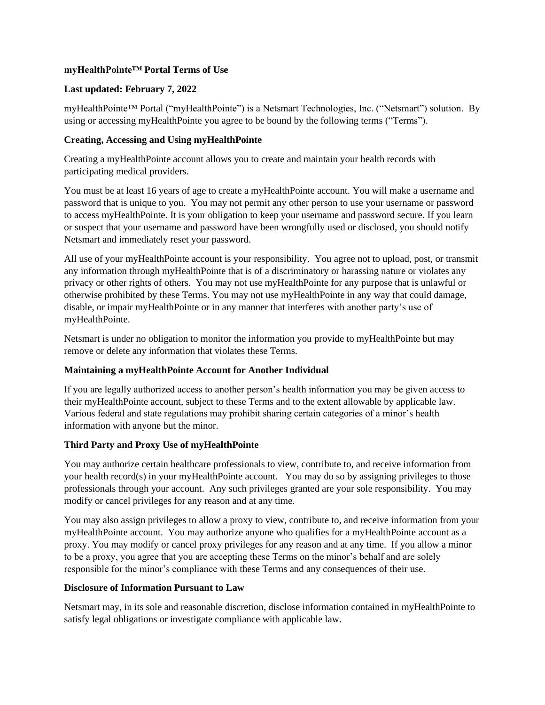## **myHealthPointe™ Portal Terms of Use**

## **Last updated: February 7, 2022**

myHealthPointe™ Portal ("myHealthPointe") is a Netsmart Technologies, Inc. ("Netsmart") solution. By using or accessing myHealthPointe you agree to be bound by the following terms ("Terms").

## **Creating, Accessing and Using myHealthPointe**

Creating a myHealthPointe account allows you to create and maintain your health records with participating medical providers.

You must be at least 16 years of age to create a myHealthPointe account. You will make a username and password that is unique to you. You may not permit any other person to use your username or password to access myHealthPointe. It is your obligation to keep your username and password secure. If you learn or suspect that your username and password have been wrongfully used or disclosed, you should notify Netsmart and immediately reset your password.

All use of your myHealthPointe account is your responsibility. You agree not to upload, post, or transmit any information through myHealthPointe that is of a discriminatory or harassing nature or violates any privacy or other rights of others. You may not use myHealthPointe for any purpose that is unlawful or otherwise prohibited by these Terms. You may not use myHealthPointe in any way that could damage, disable, or impair myHealthPointe or in any manner that interferes with another party's use of myHealthPointe.

Netsmart is under no obligation to monitor the information you provide to myHealthPointe but may remove or delete any information that violates these Terms.

# **Maintaining a myHealthPointe Account for Another Individual**

If you are legally authorized access to another person's health information you may be given access to their myHealthPointe account, subject to these Terms and to the extent allowable by applicable law. Various federal and state regulations may prohibit sharing certain categories of a minor's health information with anyone but the minor.

## **Third Party and Proxy Use of myHealthPointe**

You may authorize certain healthcare professionals to view, contribute to, and receive information from your health record(s) in your myHealthPointe account. You may do so by assigning privileges to those professionals through your account. Any such privileges granted are your sole responsibility. You may modify or cancel privileges for any reason and at any time.

You may also assign privileges to allow a proxy to view, contribute to, and receive information from your myHealthPointe account. You may authorize anyone who qualifies for a myHealthPointe account as a proxy. You may modify or cancel proxy privileges for any reason and at any time. If you allow a minor to be a proxy, you agree that you are accepting these Terms on the minor's behalf and are solely responsible for the minor's compliance with these Terms and any consequences of their use.

## **Disclosure of Information Pursuant to Law**

Netsmart may, in its sole and reasonable discretion, disclose information contained in myHealthPointe to satisfy legal obligations or investigate compliance with applicable law.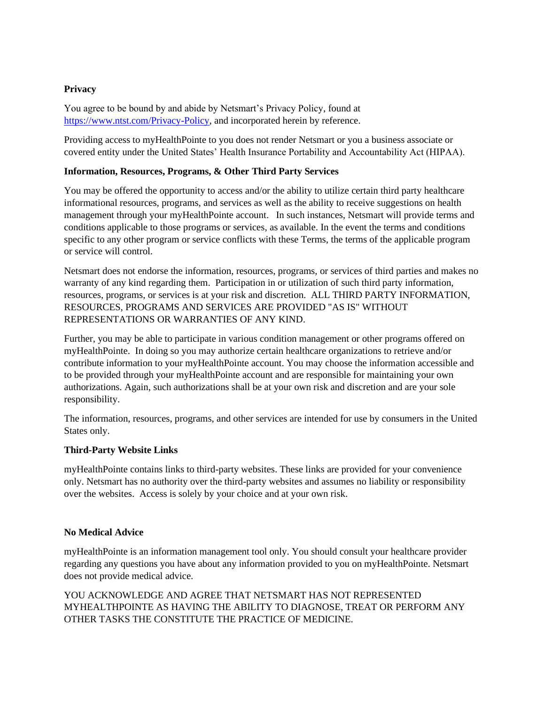# **Privacy**

You agree to be bound by and abide by Netsmart's Privacy Policy, found at [https://www.ntst.com/Privacy-Policy,](https://www.ntst.com/Privacy-Policy) and incorporated herein by reference.

Providing access to myHealthPointe to you does not render Netsmart or you a business associate or covered entity under the United States' Health Insurance Portability and Accountability Act (HIPAA).

## **Information, Resources, Programs, & Other Third Party Services**

You may be offered the opportunity to access and/or the ability to utilize certain third party healthcare informational resources, programs, and services as well as the ability to receive suggestions on health management through your myHealthPointe account. In such instances, Netsmart will provide terms and conditions applicable to those programs or services, as available. In the event the terms and conditions specific to any other program or service conflicts with these Terms, the terms of the applicable program or service will control.

Netsmart does not endorse the information, resources, programs, or services of third parties and makes no warranty of any kind regarding them. Participation in or utilization of such third party information, resources, programs, or services is at your risk and discretion. ALL THIRD PARTY INFORMATION, RESOURCES, PROGRAMS AND SERVICES ARE PROVIDED "AS IS" WITHOUT REPRESENTATIONS OR WARRANTIES OF ANY KIND.

Further, you may be able to participate in various condition management or other programs offered on myHealthPointe. In doing so you may authorize certain healthcare organizations to retrieve and/or contribute information to your myHealthPointe account. You may choose the information accessible and to be provided through your myHealthPointe account and are responsible for maintaining your own authorizations. Again, such authorizations shall be at your own risk and discretion and are your sole responsibility.

The information, resources, programs, and other services are intended for use by consumers in the United States only.

## **Third-Party Website Links**

myHealthPointe contains links to third-party websites. These links are provided for your convenience only. Netsmart has no authority over the third-party websites and assumes no liability or responsibility over the websites. Access is solely by your choice and at your own risk.

## **No Medical Advice**

myHealthPointe is an information management tool only. You should consult your healthcare provider regarding any questions you have about any information provided to you on myHealthPointe. Netsmart does not provide medical advice.

YOU ACKNOWLEDGE AND AGREE THAT NETSMART HAS NOT REPRESENTED MYHEALTHPOINTE AS HAVING THE ABILITY TO DIAGNOSE, TREAT OR PERFORM ANY OTHER TASKS THE CONSTITUTE THE PRACTICE OF MEDICINE.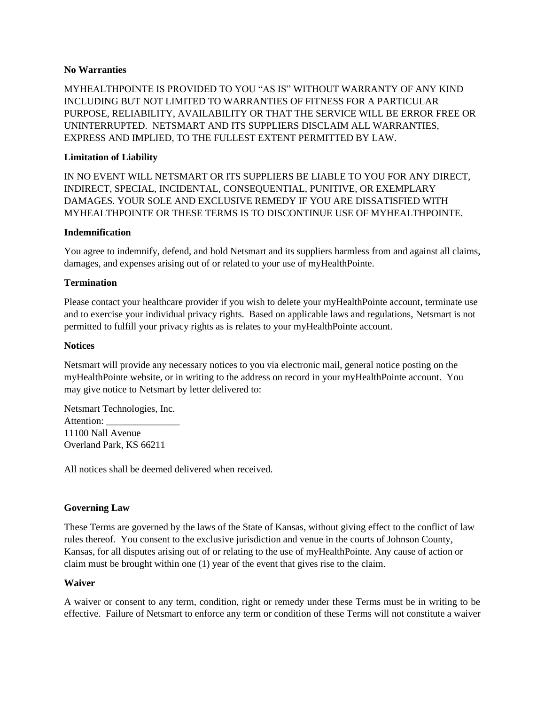### **No Warranties**

MYHEALTHPOINTE IS PROVIDED TO YOU "AS IS" WITHOUT WARRANTY OF ANY KIND INCLUDING BUT NOT LIMITED TO WARRANTIES OF FITNESS FOR A PARTICULAR PURPOSE, RELIABILITY, AVAILABILITY OR THAT THE SERVICE WILL BE ERROR FREE OR UNINTERRUPTED. NETSMART AND ITS SUPPLIERS DISCLAIM ALL WARRANTIES, EXPRESS AND IMPLIED, TO THE FULLEST EXTENT PERMITTED BY LAW.

## **Limitation of Liability**

IN NO EVENT WILL NETSMART OR ITS SUPPLIERS BE LIABLE TO YOU FOR ANY DIRECT, INDIRECT, SPECIAL, INCIDENTAL, CONSEQUENTIAL, PUNITIVE, OR EXEMPLARY DAMAGES. YOUR SOLE AND EXCLUSIVE REMEDY IF YOU ARE DISSATISFIED WITH MYHEALTHPOINTE OR THESE TERMS IS TO DISCONTINUE USE OF MYHEALTHPOINTE.

### **Indemnification**

You agree to indemnify, defend, and hold Netsmart and its suppliers harmless from and against all claims, damages, and expenses arising out of or related to your use of myHealthPointe.

### **Termination**

Please contact your healthcare provider if you wish to delete your myHealthPointe account, terminate use and to exercise your individual privacy rights. Based on applicable laws and regulations, Netsmart is not permitted to fulfill your privacy rights as is relates to your myHealthPointe account.

### **Notices**

Netsmart will provide any necessary notices to you via electronic mail, general notice posting on the myHealthPointe website, or in writing to the address on record in your myHealthPointe account. You may give notice to Netsmart by letter delivered to:

Netsmart Technologies, Inc. Attention: 11100 Nall Avenue Overland Park, KS 66211

All notices shall be deemed delivered when received.

#### **Governing Law**

These Terms are governed by the laws of the State of Kansas, without giving effect to the conflict of law rules thereof. You consent to the exclusive jurisdiction and venue in the courts of Johnson County, Kansas, for all disputes arising out of or relating to the use of myHealthPointe. Any cause of action or claim must be brought within one (1) year of the event that gives rise to the claim.

#### **Waiver**

A waiver or consent to any term, condition, right or remedy under these Terms must be in writing to be effective. Failure of Netsmart to enforce any term or condition of these Terms will not constitute a waiver